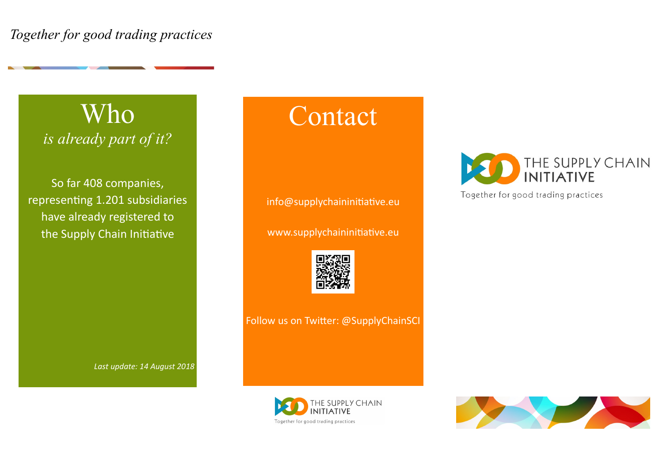### Who *is already part of it?*

So far 408 companies, representing 1.201 subsidiaries have already registered to the Supply Chain Initiative

*Last update: 14 August 2018*

## Contact

info@supplychaininitiative.eu

www.supplychaininitiative.eu



Follow us on Twitter: @SupplyChainSCI







Together for good trading practices